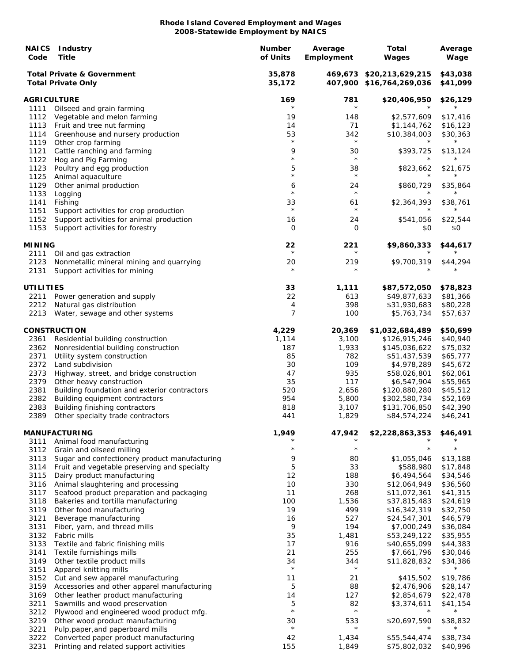| <b>NAICS</b><br>Code | <b>Industry</b><br>Title                                                       | <b>Number</b><br>of Units | Average<br>Employment | Total<br>Wages                                       | Average<br>Wage      |
|----------------------|--------------------------------------------------------------------------------|---------------------------|-----------------------|------------------------------------------------------|----------------------|
|                      | <b>Total Private &amp; Government</b><br><b>Total Private Only</b>             | 35,878<br>35,172          |                       | 469,673 \$20,213,629,215<br>407,900 \$16,764,269,036 | \$43,038<br>\$41,099 |
| AGRICULTURE          |                                                                                | 169                       | 781                   | \$20,406,950                                         | \$26,129             |
| 1111                 | Oilseed and grain farming                                                      | $^\star$                  | $\star$               |                                                      |                      |
| 1112                 | Vegetable and melon farming                                                    | 19                        | 148                   | \$2,577,609                                          | \$17,416             |
| 1113<br>1114         | Fruit and tree nut farming<br>Greenhouse and nursery production                | 14<br>53                  | 71<br>342             | \$1,144,762<br>\$10,384,003                          | \$16,123<br>\$30,363 |
| 1119                 | Other crop farming                                                             | $\star$                   | $^\star$              |                                                      | $^\star$             |
| 1121                 | Cattle ranching and farming                                                    | 9                         | 30                    | \$393,725                                            | \$13,124             |
| 1122                 | Hog and Pig Farming                                                            | $\star$                   | $\star$               |                                                      |                      |
| 1123                 | Poultry and egg production                                                     | 5                         | 38                    | \$823,662                                            | \$21,675             |
| 1125                 | Animal aquaculture                                                             | $^\star$                  | $\star$               |                                                      | $^\star$             |
| 1129                 | Other animal production                                                        | 6<br>$\star$              | 24<br>$\star$         | \$860,729<br>$^\star$                                | \$35,864<br>$^\star$ |
| 1133<br>1141         | Logging<br>Fishing                                                             | 33                        | 61                    | \$2,364,393                                          | \$38,761             |
| 1151                 | Support activities for crop production                                         | $\star$                   | $^{\star}$            |                                                      | $^\star$             |
| 1152                 | Support activities for animal production                                       | 16                        | 24                    | \$541,056                                            | \$22,544             |
| 1153                 | Support activities for forestry                                                | $\Omega$                  | 0                     | \$0                                                  | \$0                  |
|                      |                                                                                |                           |                       |                                                      |                      |
| <b>MINING</b>        |                                                                                | 22<br>$\star$             | 221<br>$\star$        | \$9,860,333                                          | \$44,617<br>$^\star$ |
| 2111<br>2123         | Oil and gas extraction<br>Nonmetallic mineral mining and quarrying             | 20                        | 219                   | \$9,700,319                                          | \$44,294             |
| 2131                 | Support activities for mining                                                  |                           | $^\star$              |                                                      |                      |
|                      |                                                                                |                           |                       |                                                      |                      |
| UTILITIES            |                                                                                | 33                        | 1,111                 | \$87,572,050                                         | \$78,823             |
| 2211                 | Power generation and supply                                                    | 22                        | 613                   | \$49,877,633                                         | \$81,366             |
| 2212                 | Natural gas distribution                                                       | 4                         | 398                   | \$31,930,683                                         | \$80,228             |
| 2213                 | Water, sewage and other systems                                                | 7                         | 100                   | \$5,763,734                                          | \$57,637             |
|                      | <b>CONSTRUCTION</b>                                                            | 4,229                     | 20,369                | \$1,032,684,489                                      | \$50,699             |
| 2361                 | Residential building construction                                              | 1,114                     | 3,100                 | \$126,915,246                                        | \$40,940             |
| 2362                 | Nonresidential building construction                                           | 187                       | 1,933                 | \$145,036,622                                        | \$75,032             |
| 2371                 | Utility system construction                                                    | 85                        | 782                   | \$51,437,539                                         | \$65,777             |
| 2372                 | Land subdivision                                                               | 30                        | 109                   | \$4,978,289                                          | \$45,672             |
| 2373                 | Highway, street, and bridge construction                                       | 47                        | 935                   | \$58,026,801                                         | \$62,061             |
| 2379                 | Other heavy construction                                                       | 35                        | 117                   | \$6,547,904                                          | \$55,965             |
| 2381<br>2382         | Building foundation and exterior contractors<br>Building equipment contractors | 520<br>954                | 2,656<br>5,800        | \$120,880,280<br>\$302,580,734                       | \$45,512<br>\$52,169 |
| 2383                 | Building finishing contractors                                                 | 818                       | 3,107                 | \$131,706,850                                        | \$42,390             |
|                      | 2389 Other specialty trade contractors                                         | 441                       | 1,829                 | \$84,574,224                                         | \$46,241             |
|                      |                                                                                |                           |                       |                                                      |                      |
|                      | <b>MANUFACTURING</b>                                                           | 1,949                     | 47,942                | \$2,228,863,353                                      | \$46,491             |
| 3111                 | Animal food manufacturing                                                      | $^\star$                  | $\star$               | $^\star$                                             | $^{\star}$           |
| 3112<br>3113         | Grain and oilseed milling<br>Sugar and confectionery product manufacturing     | 9                         | 80                    | \$1,055,046                                          | \$13,188             |
| 3114                 | Fruit and vegetable preserving and specialty                                   | 5                         | 33                    | \$588,980                                            | \$17,848             |
| 3115                 | Dairy product manufacturing                                                    | 12                        | 188                   | \$6,494,564                                          | \$34,546             |
| 3116                 | Animal slaughtering and processing                                             | 10                        | 330                   | \$12,064,949                                         | \$36,560             |
| 3117                 | Seafood product preparation and packaging                                      | 11                        | 268                   | \$11,072,361                                         | \$41,315             |
| 3118                 | Bakeries and tortilla manufacturing                                            | 100                       | 1,536                 | \$37,815,483                                         | \$24,619             |
| 3119                 | Other food manufacturing                                                       | 19                        | 499                   | \$16,342,319                                         | \$32,750             |
| 3121<br>3131         | Beverage manufacturing<br>Fiber, yarn, and thread mills                        | 16<br>9                   | 527<br>194            | \$24,547,301<br>\$7,000,249                          | \$46,579<br>\$36,084 |
| 3132                 | Fabric mills                                                                   | 35                        | 1,481                 | \$53,249,122                                         | \$35,955             |
| 3133                 | Textile and fabric finishing mills                                             | 17                        | 916                   | \$40,655,099                                         | \$44,383             |
| 3141                 | Textile furnishings mills                                                      | 21                        | 255                   | \$7,661,796                                          | \$30,046             |
| 3149                 | Other textile product mills                                                    | 34                        | 344                   | \$11,828,832                                         | \$34,386             |
| 3151                 | Apparel knitting mills                                                         | $\star$                   | $\star$               | $\star$                                              | $^\star$             |
| 3152                 | Cut and sew apparel manufacturing                                              | 11                        | 21                    | \$415,502                                            | \$19,786             |
| 3159                 | Accessories and other apparel manufacturing                                    | 5                         | 88                    | \$2,476,906                                          | \$28,147             |
| 3169<br>3211         | Other leather product manufacturing<br>Sawmills and wood preservation          | 14<br>5                   | 127<br>82             | \$2,854,679<br>\$3,374,611                           | \$22,478             |
| 3212                 | Plywood and engineered wood product mfg.                                       | $\star$                   | $^{\star}$            | $\star$                                              | \$41,154<br>$^\star$ |
| 3219                 | Other wood product manufacturing                                               | 30                        | 533                   | \$20,697,590                                         | \$38,832             |
| 3221                 | Pulp, paper, and paperboard mills                                              | $\star$                   | $\star$               | $\star$                                              | $^\star$             |
| 3222                 | Converted paper product manufacturing                                          | 42                        | 1,434                 | \$55,544,474                                         | \$38,734             |
| 3231                 | Printing and related support activities                                        | 155                       | 1,849                 | \$75,802,032                                         | \$40,996             |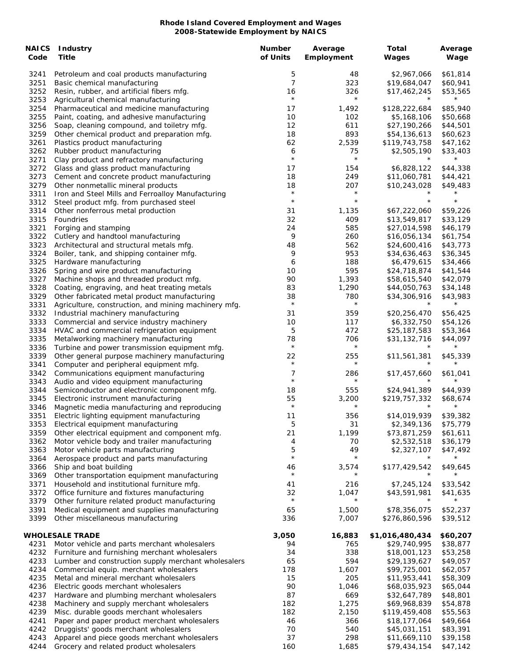| <b>NAICS</b><br>Code | <b>Industry</b><br>Title                                                                  | <b>Number</b><br>of Units | Average<br>Employment | Total<br>Wages              | Average<br>Wage      |
|----------------------|-------------------------------------------------------------------------------------------|---------------------------|-----------------------|-----------------------------|----------------------|
| 3241                 | Petroleum and coal products manufacturing                                                 | 5                         | 48                    | \$2,967,066                 | \$61,814             |
| 3251                 | Basic chemical manufacturing                                                              | $\overline{7}$            | 323                   | \$19,684,047                | \$60,941             |
| 3252                 | Resin, rubber, and artificial fibers mfg.                                                 | 16                        | 326                   | \$17,462,245                | \$53,565             |
| 3253                 | Agricultural chemical manufacturing                                                       | $\star$                   | $\star$               |                             | $^\star$             |
| 3254                 | Pharmaceutical and medicine manufacturing                                                 | 17                        | 1,492                 | \$128,222,684               | \$85,940             |
| 3255                 | Paint, coating, and adhesive manufacturing                                                | 10                        | 102                   | \$5,168,106                 | \$50,668             |
| 3256                 | Soap, cleaning compound, and toiletry mfg.                                                | 12                        | 611                   | \$27,190,266                | \$44,501             |
| 3259                 | Other chemical product and preparation mfg.                                               | 18                        | 893                   | \$54,136,613                | \$60,623             |
| 3261                 | Plastics product manufacturing                                                            | 62                        | 2,539                 | \$119,743,758               | \$47,162             |
| 3262<br>3271         | Rubber product manufacturing<br>Clay product and refractory manufacturing                 | 6<br>$\star$              | 75<br>$\star$         | \$2,505,190                 | \$33,403             |
| 3272                 | Glass and glass product manufacturing                                                     | 17                        | 154                   | \$6,828,122                 | \$44,338             |
| 3273                 | Cement and concrete product manufacturing                                                 | 18                        | 249                   | \$11,060,781                | \$44,421             |
| 3279                 | Other nonmetallic mineral products                                                        | 18                        | 207                   | \$10,243,028                | \$49,483             |
| 3311                 | Iron and Steel Mills and Ferroalloy Manufacturing                                         | $\star$                   | $\star$               | $^{\star}$                  | $\star$              |
| 3312                 | Steel product mfg. from purchased steel                                                   | $\star$                   | $\star$               | $\star$                     | $\star$              |
| 3314                 | Other nonferrous metal production                                                         | 31                        | 1,135                 | \$67,222,060                | \$59,226             |
| 3315                 | Foundries                                                                                 | 32                        | 409                   | \$13,549,817                | \$33,129             |
| 3321                 | Forging and stamping                                                                      | 24                        | 585                   | \$27,014,598                | \$46,179             |
| 3322                 | Cutlery and handtool manufacturing                                                        | 9                         | 260                   | \$16,056,134                | \$61,754             |
| 3323                 | Architectural and structural metals mfg.                                                  | 48                        | 562                   | \$24,600,416                | \$43,773             |
| 3324                 | Boiler, tank, and shipping container mfg.                                                 | 9                         | 953                   | \$34,636,463                | \$36,345             |
| 3325                 | Hardware manufacturing                                                                    | 6                         | 188                   | \$6,479,615                 | \$34,466             |
| 3326                 | Spring and wire product manufacturing                                                     | 10                        | 595                   | \$24,718,874                | \$41,544             |
| 3327                 | Machine shops and threaded product mfg.                                                   | 90                        | 1,393                 | \$58,615,540                | \$42,079             |
| 3328                 | Coating, engraving, and heat treating metals                                              | 83                        | 1,290                 | \$44,050,763                | \$34,148             |
| 3329                 | Other fabricated metal product manufacturing                                              | 38<br>$\star$             | 780<br>$\star$        | \$34,306,916<br>$\star$     | \$43,983<br>$\star$  |
| 3331                 | Agriculture, construction, and mining machinery mfg.                                      |                           |                       |                             |                      |
| 3332                 | Industrial machinery manufacturing                                                        | 31                        | 359                   | \$20,256,470                | \$56,425             |
| 3333<br>3334         | Commercial and service industry machinery<br>HVAC and commercial refrigeration equipment  | 10<br>5                   | 117<br>472            | \$6,332,750<br>\$25,187,583 | \$54,126<br>\$53,364 |
| 3335                 | Metalworking machinery manufacturing                                                      | 78                        | 706                   | \$31,132,716                | \$44,097             |
| 3336                 | Turbine and power transmission equipment mfg.                                             | $\star$                   | $\star$               |                             | $\star$              |
| 3339                 | Other general purpose machinery manufacturing                                             | 22                        | 255                   | \$11,561,381                | \$45,339             |
| 3341                 | Computer and peripheral equipment mfg.                                                    | $\star$                   | $\star$               | $\star$                     | $^\star$             |
| 3342                 | Communications equipment manufacturing                                                    | 7                         | 286                   | \$17,457,660                | \$61,041             |
| 3343                 | Audio and video equipment manufacturing                                                   | $\star$                   | $\star$               | $^\star$                    | $^\star$             |
| 3344                 | Semiconductor and electronic component mfg.                                               | 18                        | 555                   | \$24,941,389                | \$44,939             |
| 3345                 | Electronic instrument manufacturing                                                       | 55                        | 3,200                 | \$219,757,332               | \$68,674             |
| 3346                 | Magnetic media manufacturing and reproducing                                              | $\star$                   | $\star$               | $\star$                     | $\star$              |
| 3351                 | Electric lighting equipment manufacturing                                                 | 11                        | 356                   | \$14,019,939                | \$39,382             |
| 3353                 | Electrical equipment manufacturing                                                        | 5                         | 31                    | \$2,349,136                 | \$75,779             |
| 3359                 | Other electrical equipment and component mfg.                                             | 21                        | 1,199                 | \$73,871,259                | \$61,611             |
| 3362                 | Motor vehicle body and trailer manufacturing                                              | 4                         | 70                    | \$2,532,518                 | \$36,179             |
| 3363                 | Motor vehicle parts manufacturing                                                         | 5<br>$\star$              | 49<br>$\star$         | \$2,327,107<br>$^\star$     | \$47,492             |
| 3364                 | Aerospace product and parts manufacturing                                                 |                           |                       |                             | $\star$              |
| 3366                 | Ship and boat building                                                                    | 46<br>$\star$             | 3,574<br>$^\star$     | \$177,429,542               | \$49,645             |
| 3369                 | Other transportation equipment manufacturing                                              |                           |                       |                             |                      |
| 3371<br>3372         | Household and institutional furniture mfg.<br>Office furniture and fixtures manufacturing | 41<br>32                  | 216<br>1,047          | \$7,245,124<br>\$43,591,981 | \$33,542<br>\$41,635 |
| 3379                 | Other furniture related product manufacturing                                             | $\star$                   |                       | $^{\star}$                  | $^\star$             |
| 3391                 | Medical equipment and supplies manufacturing                                              | 65                        | 1,500                 | \$78,356,075                | \$52,237             |
| 3399                 | Other miscellaneous manufacturing                                                         | 336                       | 7,007                 | \$276,860,596               | \$39,512             |
|                      |                                                                                           |                           |                       |                             |                      |
|                      | <b>WHOLESALE TRADE</b>                                                                    | 3,050                     | 16,883                | \$1,016,480,434             | \$60,207             |
| 4231                 | Motor vehicle and parts merchant wholesalers                                              | 94                        | 765                   | \$29,740,995                | \$38,877             |
| 4232                 | Furniture and furnishing merchant wholesalers                                             | 34                        | 338                   | \$18,001,123                | \$53,258             |
| 4233                 | Lumber and construction supply merchant wholesalers                                       | 65                        | 594                   | \$29,139,627                | \$49,057             |
| 4234                 | Commercial equip. merchant wholesalers                                                    | 178                       | 1,607                 | \$99,725,001                | \$62,057             |
| 4235                 | Metal and mineral merchant wholesalers                                                    | 15                        | 205                   | \$11,953,441                | \$58,309             |
| 4236                 | Electric goods merchant wholesalers                                                       | 90                        | 1,046                 | \$68,035,923                | \$65,044             |
| 4237                 | Hardware and plumbing merchant wholesalers                                                | 87                        | 669                   | \$32,647,789                | \$48,801             |
| 4238                 | Machinery and supply merchant wholesalers                                                 | 182                       | 1,275                 | \$69,968,839                | \$54,878             |
| 4239                 | Misc. durable goods merchant wholesalers                                                  | 182                       | 2,150                 | \$119,459,408               | \$55,563             |
| 4241                 | Paper and paper product merchant wholesalers                                              | 46                        | 366                   | \$18,177,064                | \$49,664             |
| 4242                 | Druggists' goods merchant wholesalers                                                     | 70                        | 540                   | \$45,031,151                | \$83,391             |
| 4243<br>4244         | Apparel and piece goods merchant wholesalers                                              | 37<br>160                 | 298                   | \$11,669,110                | \$39,158             |
|                      | Grocery and related product wholesalers                                                   |                           | 1,685                 | \$79,434,154                | \$47,142             |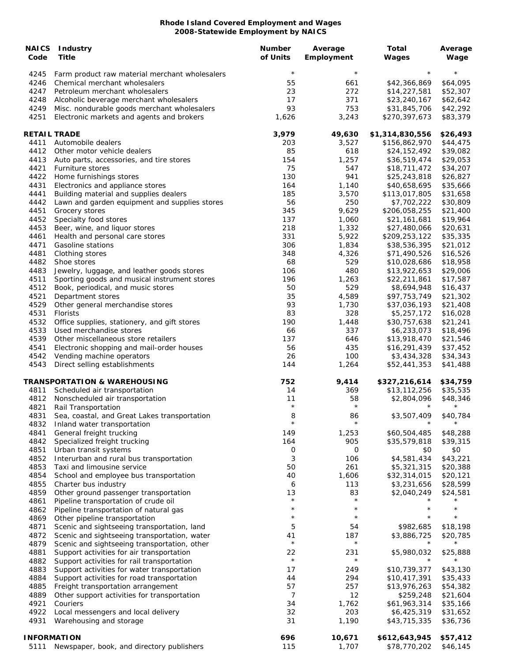| <b>NAICS</b><br>Code | <b>Industry</b><br><b>Title</b>                                                | <b>Number</b><br>of Units | Average<br>Employment | <b>Total</b><br>Wages        | Average<br>Wage      |
|----------------------|--------------------------------------------------------------------------------|---------------------------|-----------------------|------------------------------|----------------------|
| 4245                 | Farm product raw material merchant wholesalers                                 | $\star$                   | $\star$               | $\star$                      | $^{\star}$           |
| 4246                 | Chemical merchant wholesalers                                                  | 55                        | 661                   | \$42,366,869                 | \$64,095             |
| 4247                 | Petroleum merchant wholesalers                                                 | 23                        | 272                   | \$14,227,581                 | \$52,307             |
| 4248                 | Alcoholic beverage merchant wholesalers                                        | 17                        | 371                   | \$23,240,167                 | \$62,642             |
| 4249                 | Misc. nondurable goods merchant wholesalers                                    | 93                        | 753                   | \$31,845,706                 | \$42,292             |
| 4251                 | Electronic markets and agents and brokers                                      | 1,626                     | 3,243                 | \$270,397,673                | \$83,379             |
| <b>RETAIL TRADE</b>  |                                                                                | 3,979                     | 49,630                | \$1,314,830,556              | \$26,493             |
| 4411                 | Automobile dealers                                                             | 203                       | 3,527                 | \$156,862,970                | \$44,475             |
| 4412                 | Other motor vehicle dealers                                                    | 85                        | 618                   | \$24,152,492                 | \$39,082             |
| 4413<br>4421         | Auto parts, accessories, and tire stores<br>Furniture stores                   | 154<br>75                 | 1,257<br>547          | \$36,519,474                 | \$29,053<br>\$34,207 |
| 4422                 | Home furnishings stores                                                        | 130                       | 941                   | \$18,711,472<br>\$25,243,818 | \$26,827             |
| 4431                 | Electronics and appliance stores                                               | 164                       | 1,140                 | \$40,658,695                 | \$35,666             |
| 4441                 | Building material and supplies dealers                                         | 185                       | 3,570                 | \$113,017,805                | \$31,658             |
| 4442                 | Lawn and garden equipment and supplies stores                                  | 56                        | 250                   | \$7,702,222                  | \$30,809             |
| 4451                 | Grocery stores                                                                 | 345                       | 9,629                 | \$206,058,255                | \$21,400             |
| 4452                 | Specialty food stores                                                          | 137                       | 1,060                 | \$21,161,681                 | \$19,964             |
| 4453                 | Beer, wine, and liquor stores                                                  | 218                       | 1,332                 | \$27,480,066                 | \$20,631             |
| 4461                 | Health and personal care stores                                                | 331                       | 5,922                 | \$209,253,122                | \$35,335             |
| 4471                 | Gasoline stations                                                              | 306                       | 1,834                 | \$38,536,395                 | \$21,012             |
| 4481                 | Clothing stores                                                                | 348                       | 4,326                 | \$71,490,526                 | \$16,526             |
| 4482                 | Shoe stores                                                                    | 68                        | 529                   | \$10,028,686                 | \$18,958             |
| 4483                 | Jewelry, luggage, and leather goods stores                                     | 106                       | 480                   | \$13,922,653                 | \$29,006             |
| 4511                 | Sporting goods and musical instrument stores                                   | 196                       | 1,263                 | \$22,211,861                 | \$17,587             |
| 4512                 | Book, periodical, and music stores                                             | 50                        | 529                   | \$8,694,948                  | \$16,437             |
| 4521                 | Department stores                                                              | 35                        | 4,589                 | \$97,753,749                 | \$21,302             |
| 4529                 | Other general merchandise stores                                               | 93                        | 1,730                 | \$37,036,193                 | \$21,408             |
| 4531                 | Florists                                                                       | 83                        | 328                   | \$5,257,172                  | \$16,028             |
| 4532                 | Office supplies, stationery, and gift stores                                   | 190                       | 1,448<br>337          | \$30,757,638                 | \$21,241             |
| 4533<br>4539         | Used merchandise stores<br>Other miscellaneous store retailers                 | 66<br>137                 | 646                   | \$6,233,073<br>\$13,918,470  | \$18,496<br>\$21,546 |
| 4541                 | Electronic shopping and mail-order houses                                      | 56                        | 435                   | \$16,291,439                 | \$37,452             |
| 4542                 | Vending machine operators                                                      | 26                        | 100                   | \$3,434,328                  | \$34,343             |
| 4543                 | Direct selling establishments                                                  | 144                       | 1,264                 | \$52,441,353                 | \$41,488             |
|                      | TRANSPORTATION & WAREHOUSING                                                   | 752                       | 9,414                 | \$327,216,614                | \$34,759             |
| 4811                 | Scheduled air transportation                                                   | 14                        | 369                   | \$13,112,256                 | \$35,535             |
| 4812                 | Nonscheduled air transportation                                                | 11                        | 58                    | \$2,804,096                  | \$48,346             |
| 4821                 | Rail Transportation                                                            | $\star$                   | $\star$               | $^\star$                     | $^\star$             |
|                      | 4831 Sea, coastal, and Great Lakes transportation                              | 8                         | 86                    | \$3,507,409                  | \$40,784             |
| 4832                 | Inland water transportation                                                    | $\star$                   | $\star$               | $^\star$                     |                      |
| 4841                 | General freight trucking                                                       | 149                       | 1,253                 | \$60,504,485                 | \$48,288             |
| 4842                 | Specialized freight trucking                                                   | 164                       | 905                   | \$35,579,818                 | \$39,315             |
| 4851                 | Urban transit systems                                                          | 0                         | 0                     | \$0                          | \$0                  |
| 4852                 | Interurban and rural bus transportation                                        | 3                         | 106                   | \$4,581,434                  | \$43,221             |
| 4853                 | Taxi and limousine service                                                     | 50                        | 261                   | \$5,321,315                  | \$20,388             |
| 4854                 | School and employee bus transportation                                         | 40                        | 1,606                 | \$32,314,015                 | \$20,121             |
| 4855                 | Charter bus industry                                                           | 6                         | 113                   | \$3,231,656                  | \$28,599             |
| 4859                 | Other ground passenger transportation                                          | 13<br>$^\star$            | 83<br>$\star$         | \$2,040,249                  | \$24,581<br>*        |
| 4861<br>4862         | Pipeline transportation of crude oil<br>Pipeline transportation of natural gas | $\star$                   | $\star$               | $^\star$                     | $^{\star}$           |
| 4869                 | Other pipeline transportation                                                  | $\star$                   | $\star$               | $\star$                      | $\star$              |
| 4871                 | Scenic and sightseeing transportation, land                                    | 5                         | 54                    | \$982,685                    | \$18,198             |
| 4872                 | Scenic and sightseeing transportation, water                                   | 41                        | 187                   | \$3,886,725                  | \$20,785             |
| 4879                 | Scenic and sightseeing transportation, other                                   | $^\star$                  | $\star$               |                              | $\star$              |
| 4881                 | Support activities for air transportation                                      | 22                        | 231                   | \$5,980,032                  | \$25,888             |
| 4882                 | Support activities for rail transportation                                     | $\star$                   | $^{\star}$            | $\star$                      | $^\star$             |
| 4883                 | Support activities for water transportation                                    | 17                        | 249                   | \$10,739,377                 | \$43,130             |
| 4884                 | Support activities for road transportation                                     | 44                        | 294                   | \$10,417,391                 | \$35,433             |
| 4885                 | Freight transportation arrangement                                             | 57                        | 257                   | \$13,976,263                 | \$54,382             |
| 4889                 | Other support activities for transportation                                    | 7                         | 12                    | \$259,248                    | \$21,604             |
| 4921                 | Couriers                                                                       | 34                        | 1,762                 | \$61,963,314                 | \$35,166             |
| 4922                 | Local messengers and local delivery                                            | 32                        | 203                   | \$6,425,319                  | \$31,652             |
| 4931                 | Warehousing and storage                                                        | 31                        | 1,190                 | \$43,715,335                 | \$36,736             |
|                      | <b>INFORMATION</b>                                                             | 696                       | 10,671                | \$612,643,945                | \$57,412             |
| 5111                 | Newspaper, book, and directory publishers                                      | 115                       | 1,707                 | \$78,770,202                 | \$46,145             |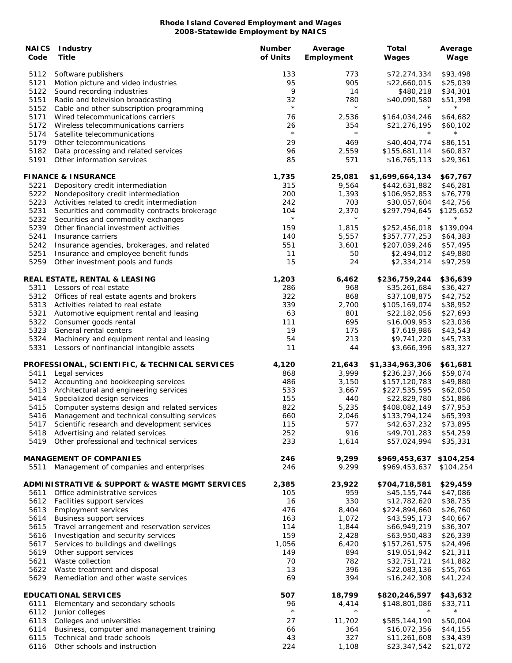| <b>NAICS</b><br>Code | <b>Industry</b><br>Title                                                           | <b>Number</b><br>of Units | Average<br>Employment | Total<br>Wages                 | Average<br>Wage      |
|----------------------|------------------------------------------------------------------------------------|---------------------------|-----------------------|--------------------------------|----------------------|
| 5112<br>5121         | Software publishers<br>Motion picture and video industries                         | 133<br>95                 | 773<br>905            | \$72,274,334<br>\$22,660,015   | \$93,498<br>\$25,039 |
| 5122<br>5151         | Sound recording industries<br>Radio and television broadcasting                    | 9<br>32                   | 14<br>780             | \$480,218<br>\$40,090,580      | \$34,301<br>\$51,398 |
| 5152                 | Cable and other subscription programming                                           | $\star$                   | $\star$               | $\star$                        | $^\star$             |
| 5171<br>5172         | Wired telecommunications carriers<br>Wireless telecommunications carriers          | 76<br>26                  | 2,536<br>354          | \$164,034,246<br>\$21,276,195  | \$64,682<br>\$60,102 |
| 5174                 | Satellite telecommunications                                                       | $\star$                   | $\star$               | $^{\star}$                     | $^\star$             |
| 5179<br>5182         | Other telecommunications                                                           | 29<br>96                  | 469                   | \$40,404,774                   | \$86,151             |
| 5191                 | Data processing and related services<br>Other information services                 | 85                        | 2,559<br>571          | \$155,681,114<br>\$16,765,113  | \$60,837<br>\$29,361 |
|                      | <b>FINANCE &amp; INSURANCE</b>                                                     | 1,735                     | 25,081                | \$1,699,664,134                | \$67,767             |
| 5221                 | Depository credit intermediation                                                   | 315                       | 9,564                 | \$442,631,882                  | \$46,281             |
| 5222                 | Nondepository credit intermediation                                                | 200                       | 1,393                 | \$106,952,853                  | \$76,779             |
| 5223                 | Activities related to credit intermediation                                        | 242                       | 703                   | \$30,057,604                   | \$42,756             |
| 5231<br>5232         | Securities and commodity contracts brokerage<br>Securities and commodity exchanges | 104<br>$\star$            | 2,370<br>$\star$      | \$297,794,645                  | \$125,652            |
| 5239                 | Other financial investment activities                                              | 159                       | 1,815                 | \$252,456,018                  | \$139,094            |
| 5241                 | Insurance carriers                                                                 | 140                       | 5,557                 | \$357,777,253                  | \$64,383             |
| 5242                 | Insurance agencies, brokerages, and related                                        | 551                       | 3,601                 | \$207,039,246                  | \$57,495             |
| 5251                 | Insurance and employee benefit funds                                               | 11                        | 50                    | \$2,494,012                    | \$49,880             |
| 5259                 | Other investment pools and funds                                                   | 15                        | 24                    | \$2,334,214                    | \$97,259             |
|                      | <b>REAL ESTATE, RENTAL &amp; LEASING</b>                                           | 1,203                     | 6,462                 | \$236,759,244                  | \$36,639             |
| 5311                 | Lessors of real estate                                                             | 286                       | 968                   | \$35,261,684                   | \$36,427             |
| 5312                 | Offices of real estate agents and brokers                                          | 322                       | 868                   | \$37,108,875                   | \$42,752             |
| 5313<br>5321         | Activities related to real estate<br>Automotive equipment rental and leasing       | 339<br>63                 | 2,700<br>801          | \$105,169,074<br>\$22,182,056  | \$38,952<br>\$27,693 |
| 5322                 | Consumer goods rental                                                              | 111                       | 695                   | \$16,009,953                   | \$23,036             |
| 5323                 | General rental centers                                                             | 19                        | 175                   | \$7,619,986                    | \$43,543             |
| 5324                 | Machinery and equipment rental and leasing                                         | 54                        | 213                   | \$9,741,220                    | \$45,733             |
| 5331                 | Lessors of nonfinancial intangible assets                                          | 11                        | 44                    | \$3,666,396                    | \$83,327             |
|                      | PROFESSIONAL, SCIENTIFIC, & TECHNICAL SERVICES                                     | 4,120                     | 21,643                | \$1,334,963,306                | \$61,681             |
| 5411                 | Legal services                                                                     | 868                       | 3,999                 | \$236,237,366                  | \$59,074             |
| 5412<br>5413         | Accounting and bookkeeping services<br>Architectural and engineering services      | 486<br>533                | 3,150<br>3,667        | \$157,120,783<br>\$227,535,595 | \$49,880<br>\$62,050 |
| 5414                 | Specialized design services                                                        | 155                       | 440                   | \$22,829,780                   | \$51,886             |
| 5415                 | Computer systems design and related services                                       | 822                       | 5,235                 | \$408,082,149                  | \$77,953             |
|                      | 5416 Management and technical consulting services                                  | 660                       | 2,046                 | \$133,794,124                  | \$65,393             |
|                      | 5417 Scientific research and development services                                  | 115                       | 577                   | \$42,637,232                   | \$73,895             |
|                      | 5418 Advertising and related services                                              | 252                       | 916                   | \$49,701,283                   | \$54,259             |
| 5419                 | Other professional and technical services                                          | 233                       | 1,614                 | \$57,024,994                   | \$35,331             |
|                      | <b>MANAGEMENT OF COMPANIES</b>                                                     | 246<br>246                | 9,299                 | \$969,453,637                  | \$104,254            |
| 5511                 | Management of companies and enterprises                                            |                           | 9,299                 | \$969,453,637                  | \$104,254            |
|                      | ADMINISTRATIVE & SUPPORT & WASTE MGMT SERVICES                                     | 2,385                     | 23,922                | \$704,718,581                  | \$29,459             |
| 5611                 | Office administrative services                                                     | 105<br>16                 | 959                   | \$45,155,744                   | \$47,086<br>\$38,735 |
| 5612<br>5613         | Facilities support services<br><b>Employment services</b>                          | 476                       | 330<br>8,404          | \$12,782,620<br>\$224,894,660  | \$26,760             |
| 5614                 | <b>Business support services</b>                                                   | 163                       | 1,072                 | \$43,595,173                   | \$40,667             |
| 5615                 | Travel arrangement and reservation services                                        | 114                       | 1,844                 | \$66,949,219                   | \$36,307             |
| 5616                 | Investigation and security services                                                | 159                       | 2,428                 | \$63,950,483                   | \$26,339             |
| 5617                 | Services to buildings and dwellings                                                | 1,056                     | 6,420                 | \$157,261,575                  | \$24,496             |
| 5619                 | Other support services                                                             | 149                       | 894                   | \$19,051,942                   | \$21,311             |
| 5621                 | Waste collection                                                                   | 70                        | 782                   | \$32,751,721                   | \$41,882             |
| 5622<br>5629         | Waste treatment and disposal<br>Remediation and other waste services               | 13<br>69                  | 396<br>394            | \$22,083,136<br>\$16,242,308   | \$55,765<br>\$41,224 |
|                      | <b>EDUCATIONAL SERVICES</b>                                                        | 507                       | 18,799                | \$820,246,597                  | \$43,632             |
| 6111                 | Elementary and secondary schools                                                   | 96                        | 4,414                 | \$148,801,086                  | \$33,711             |
| 6112                 | Junior colleges                                                                    | $\star$                   | $\star$               | $\star$                        | $^\star$             |
| 6113                 | Colleges and universities                                                          | 27                        | 11,702                | \$585,144,190                  | \$50,004             |
| 6114                 | Business, computer and management training                                         | 66                        | 364                   | \$16,072,356                   | \$44,155             |
| 6115                 | Technical and trade schools                                                        | 43                        | 327                   | \$11,261,608                   | \$34,439             |
| 6116                 | Other schools and instruction                                                      | 224                       | 1,108                 | \$23,347,542                   | \$21,072             |